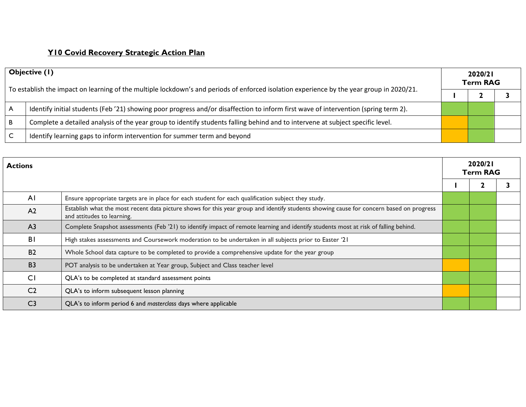## **Y10 Covid Recovery Strategic Action Plan**

| Objective (1)<br>To establish the impact on learning of the multiple lockdown's and periods of enforced isolation experience by the year group in 2020/21. |                                                                                                                                     | 2020/21<br><b>Term RAG</b> |  |  |
|------------------------------------------------------------------------------------------------------------------------------------------------------------|-------------------------------------------------------------------------------------------------------------------------------------|----------------------------|--|--|
|                                                                                                                                                            |                                                                                                                                     |                            |  |  |
| . A                                                                                                                                                        | Identify initial students (Feb '21) showing poor progress and/or disaffection to inform first wave of intervention (spring term 2). |                            |  |  |
| ΙB.                                                                                                                                                        | Complete a detailed analysis of the year group to identify students falling behind and to intervene at subject specific level.      |                            |  |  |
| C                                                                                                                                                          | Identify learning gaps to inform intervention for summer term and beyond                                                            |                            |  |  |

| <b>Actions</b> |                                                                                                                                                                       |  | 2020/21<br><b>Term RAG</b> |  |  |
|----------------|-----------------------------------------------------------------------------------------------------------------------------------------------------------------------|--|----------------------------|--|--|
|                |                                                                                                                                                                       |  |                            |  |  |
| AI             | Ensure appropriate targets are in place for each student for each qualification subject they study.                                                                   |  |                            |  |  |
| A <sub>2</sub> | Establish what the most recent data picture shows for this year group and identify students showing cause for concern based on progress<br>and attitudes to learning. |  |                            |  |  |
| A <sub>3</sub> | Complete Snapshot assessments (Feb '21) to identify impact of remote learning and identify students most at risk of falling behind.                                   |  |                            |  |  |
| BI             | High stakes assessments and Coursework moderation to be undertaken in all subjects prior to Easter '21                                                                |  |                            |  |  |
| <b>B2</b>      | Whole School data capture to be completed to provide a comprehensive update for the year group                                                                        |  |                            |  |  |
| <b>B3</b>      | POT analysis to be undertaken at Year group, Subject and Class teacher level                                                                                          |  |                            |  |  |
| CI             | QLA's to be completed at standard assessment points                                                                                                                   |  |                            |  |  |
| C <sub>2</sub> | QLA's to inform subsequent lesson planning                                                                                                                            |  |                            |  |  |
| C3             | QLA's to inform period 6 and masterclass days where applicable                                                                                                        |  |                            |  |  |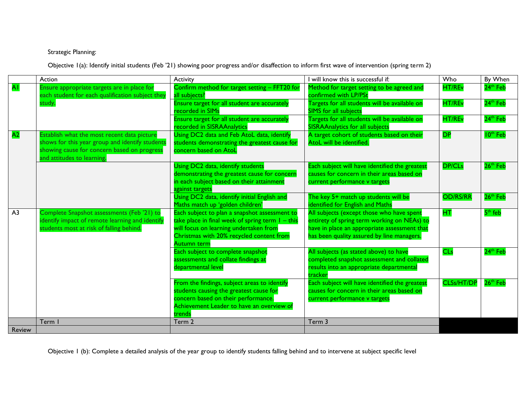## Strategic Planning:

Objective 1(a): Identify initial students (Feb '21) showing poor progress and/or disaffection to inform first wave of intervention (spring term 2)

|                | Action                                                                                                                                                                      | Activity                                                                                                                                                                                                        | I will know this is successful if:                                                                                                                                                     | Who               | By When              |
|----------------|-----------------------------------------------------------------------------------------------------------------------------------------------------------------------------|-----------------------------------------------------------------------------------------------------------------------------------------------------------------------------------------------------------------|----------------------------------------------------------------------------------------------------------------------------------------------------------------------------------------|-------------------|----------------------|
| <b>AI</b>      | Ensure appropriate targets are in place for<br>each student for each qualification subject they                                                                             | Confirm method for target setting - FFT20 for<br>all subjects?                                                                                                                                                  | Method for target setting to be agreed and<br>confirmed with LP/PSt                                                                                                                    | <b>HT/REv</b>     | 24 <sup>th</sup> Feb |
|                | study.                                                                                                                                                                      | Ensure target for all student are accurately<br>recorded in SIMs                                                                                                                                                | Targets for all students will be available on<br>SIMS for all subjects                                                                                                                 | <b>HT/REv</b>     | 24 <sup>th</sup> Feb |
|                |                                                                                                                                                                             | Ensure target for all student are accurately<br>recorded in SISRAAnalytics                                                                                                                                      | Targets for all students will be available on<br><b>SISRAAnalytics for all subjects</b>                                                                                                | HT/REv            | 24 <sup>th</sup> Feb |
| A <sub>2</sub> | Establish what the most recent data picture<br>shows for this year group and identify students<br>showing cause for concern based on progress<br>and attitudes to learning. | Using DC2 data and Feb AtoL data, identify<br>students demonstrating the greatest cause for<br>concern based on AtoL                                                                                            | A target cohort of students based on their<br>AtoL will be identified.                                                                                                                 | <b>DP</b>         | 10 <sup>th</sup> Feb |
|                |                                                                                                                                                                             | Using DC2 data, identify students<br>demonstrating the greatest cause for concern<br>in each subject based on their attainment<br>gainst targets                                                                | Each subject will have identified the greatest<br>causes for concern in their areas based on<br>current performance v targets                                                          | <b>DP/CLs</b>     | 26 <sup>th</sup> Feb |
|                |                                                                                                                                                                             | Using DC2 data, identify initial English and<br>Maths match up 'golden children'                                                                                                                                | The key 5+ match up students will be<br>identified for English and Maths                                                                                                               | <b>OD/RS/RR</b>   | 26 <sup>th</sup> Feb |
| A <sub>3</sub> | Complete Snapshot assessments (Feb '21) to<br>identify impact of remote learning and identify<br>students most at risk of falling behind.                                   | Each subject to plan a snapshot assessment to<br>take place in final week of spring term $I - this$<br>will focus on learning undertaken from<br>Christmas with 20% recycled content from<br><b>Autumn term</b> | All subjects (except those who have spent<br>entirety of spring term working on NEAs) to<br>have in place an appropriate assessment that<br>has been quality assured by line managers. | HТ                | $5th$ feb            |
|                |                                                                                                                                                                             | Each subject to complete snapshot<br>assessments and collate findings at<br>departmental level                                                                                                                  | All subjects (as stated above) to have<br>completed snapshot assessment and collated<br>results into an appropriate departmental<br>tracker                                            | <b>CLs</b>        | $24th$ Feb           |
|                |                                                                                                                                                                             | From the findings, subject areas to identify<br>students causing the greatest cause for<br>concern based on their performance.<br>Achievement Leader to have an overview of<br>trends                           | Each subject will have identified the greatest<br>causes for concern in their areas based on<br>current performance v targets                                                          | <b>CLSs/HT/DP</b> | 26 <sup>th</sup> Feb |
|                | Term I                                                                                                                                                                      | Term 2                                                                                                                                                                                                          | Term 3                                                                                                                                                                                 |                   |                      |
| Review         |                                                                                                                                                                             |                                                                                                                                                                                                                 |                                                                                                                                                                                        |                   |                      |

Objective 1 (b): Complete a detailed analysis of the year group to identify students falling behind and to intervene at subject specific level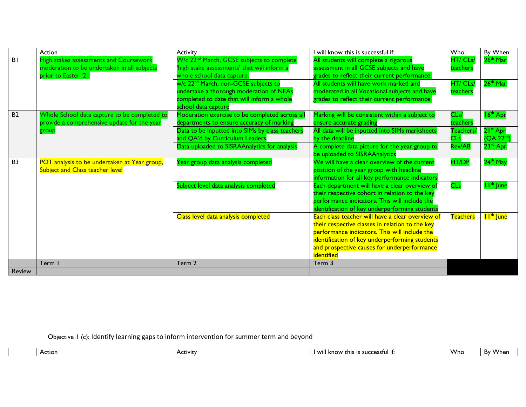|                | Action                                       | Activity                                              | I will know this is successful if:               | Who             | By When                |
|----------------|----------------------------------------------|-------------------------------------------------------|--------------------------------------------------|-----------------|------------------------|
| B <sub>1</sub> | High stakes assessments and Coursework       | W/c 22 <sup>nd</sup> March, GCSE subjects to complete | All students will complete a rigorous            | HT/ CLs.        | 26 <sup>th</sup> Mar   |
|                | moderation to be undertaken in all subjects  | 'high stake assessments' that will inform a           | assessment in all GCSE subjects and have         | teachers        |                        |
|                | prior to Easter '21                          | whole school data capture.                            | grades to reflect their current performance.     |                 |                        |
|                |                                              | w/c 22 <sup>nd</sup> March, non-GCSE subjects to      | All students will have work marked and           | HT/ CLs         | $26th$ Mar             |
|                |                                              | undertake a thorough moderation of NEAs               | moderated in all Vocational subjects and have    | teachers        |                        |
|                |                                              | completed to date that will inform a whole            | grades to reflect their current performance.     |                 |                        |
|                |                                              | school data capture                                   |                                                  |                 |                        |
| <b>B2</b>      | Whole School data capture to be completed to | Moderation exercise to be completed across all        | Marking will be consistent within a subject to   | CLs/            | 16 <sup>th</sup> Apr   |
|                | provide a comprehensive update for the year  | departments to ensure accuracy of marking             | ensure accurate grading                          | teachers        |                        |
|                | group                                        | Data to be inputted into SIMs by class teachers       | All data will be inputted into SIMs marksheets   | Teachers/       | 21 <sup>st</sup> Apr   |
|                |                                              | and QA'd by Curriculum Leaders                        | by the deadline                                  | <b>CLs</b>      | (QA 22 <sup>nd</sup> ) |
|                |                                              | Data uploaded to SISRAAnalytics for analysis          | A complete data picture for the year group to    | <b>Rev/AB</b>   | 23 <sup>rd</sup> Apr   |
|                |                                              |                                                       | be uploaded to SISRAAnalytics                    |                 |                        |
| B <sub>3</sub> | POT analysis to be undertaken at Year group, | Year group data analysis completed                    | We will have a clear overview of the current     | <b>HT/DP</b>    | 24 <sup>th</sup> May   |
|                | Subject and Class teacher level              |                                                       | position of the year group with headline         |                 |                        |
|                |                                              |                                                       | information for all key performance indicators   |                 |                        |
|                |                                              | Subject level data analysis completed                 | Each department will have a clear overview of    | <b>CLs</b>      | I I <sup>th</sup> June |
|                |                                              |                                                       | their respective cohort in relation to the key   |                 |                        |
|                |                                              |                                                       | performance indicators. This will include the    |                 |                        |
|                |                                              |                                                       | identification of key underperforming students   |                 |                        |
|                |                                              | Class level data analysis completed                   | Each class teacher will have a clear overview of | <b>Teachers</b> | I I <sup>th</sup> June |
|                |                                              |                                                       | their respective classes in relation to the key  |                 |                        |
|                |                                              |                                                       | performance indicators. This will include the    |                 |                        |
|                |                                              |                                                       | identification of key underperforming students   |                 |                        |
|                |                                              |                                                       | and prospective causes for underperformance      |                 |                        |
|                |                                              |                                                       | identified                                       |                 |                        |
|                | Term I                                       | Term 2                                                | Term 3                                           |                 |                        |
| <b>Review</b>  |                                              |                                                       |                                                  |                 |                        |

Objective 1 (c): Identify learning gaps to inform intervention for summer term and beyond

| Actior | Activit | .<br>-----<br>know<br>. 311C<br>-unis<br>∵ vv ı.<br>. | Who | Bv<br><b>VVhen</b> |
|--------|---------|-------------------------------------------------------|-----|--------------------|